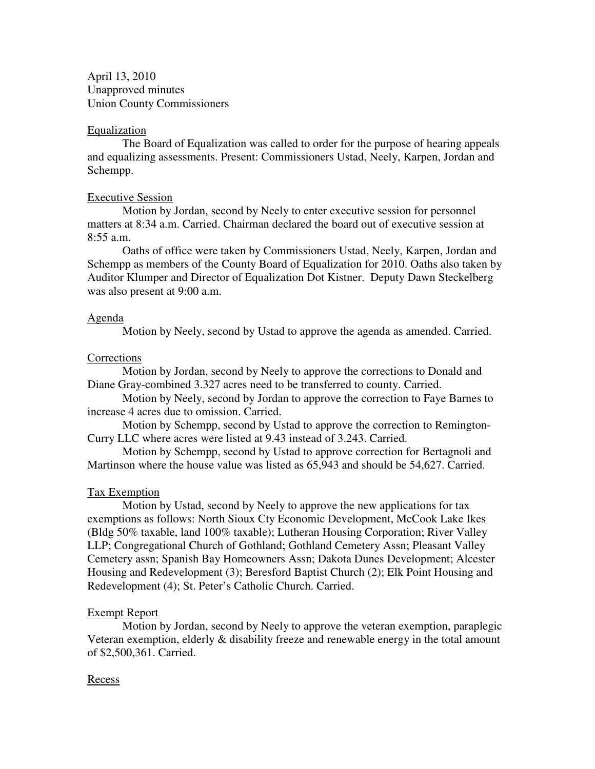April 13, 2010 Unapproved minutes Union County Commissioners

#### Equalization

 The Board of Equalization was called to order for the purpose of hearing appeals and equalizing assessments. Present: Commissioners Ustad, Neely, Karpen, Jordan and Schempp.

# Executive Session

 Motion by Jordan, second by Neely to enter executive session for personnel matters at 8:34 a.m. Carried. Chairman declared the board out of executive session at  $8:55$  a.m.

 Oaths of office were taken by Commissioners Ustad, Neely, Karpen, Jordan and Schempp as members of the County Board of Equalization for 2010. Oaths also taken by Auditor Klumper and Director of Equalization Dot Kistner. Deputy Dawn Steckelberg was also present at 9:00 a.m.

#### Agenda

Motion by Neely, second by Ustad to approve the agenda as amended. Carried.

#### **Corrections**

 Motion by Jordan, second by Neely to approve the corrections to Donald and Diane Gray-combined 3.327 acres need to be transferred to county. Carried.

 Motion by Neely, second by Jordan to approve the correction to Faye Barnes to increase 4 acres due to omission. Carried.

 Motion by Schempp, second by Ustad to approve the correction to Remington-Curry LLC where acres were listed at 9.43 instead of 3.243. Carried.

 Motion by Schempp, second by Ustad to approve correction for Bertagnoli and Martinson where the house value was listed as 65,943 and should be 54,627. Carried.

# Tax Exemption

 Motion by Ustad, second by Neely to approve the new applications for tax exemptions as follows: North Sioux Cty Economic Development, McCook Lake Ikes (Bldg 50% taxable, land 100% taxable); Lutheran Housing Corporation; River Valley LLP; Congregational Church of Gothland; Gothland Cemetery Assn; Pleasant Valley Cemetery assn; Spanish Bay Homeowners Assn; Dakota Dunes Development; Alcester Housing and Redevelopment (3); Beresford Baptist Church (2); Elk Point Housing and Redevelopment (4); St. Peter's Catholic Church. Carried.

# Exempt Report

 Motion by Jordan, second by Neely to approve the veteran exemption, paraplegic Veteran exemption, elderly & disability freeze and renewable energy in the total amount of \$2,500,361. Carried.

#### Recess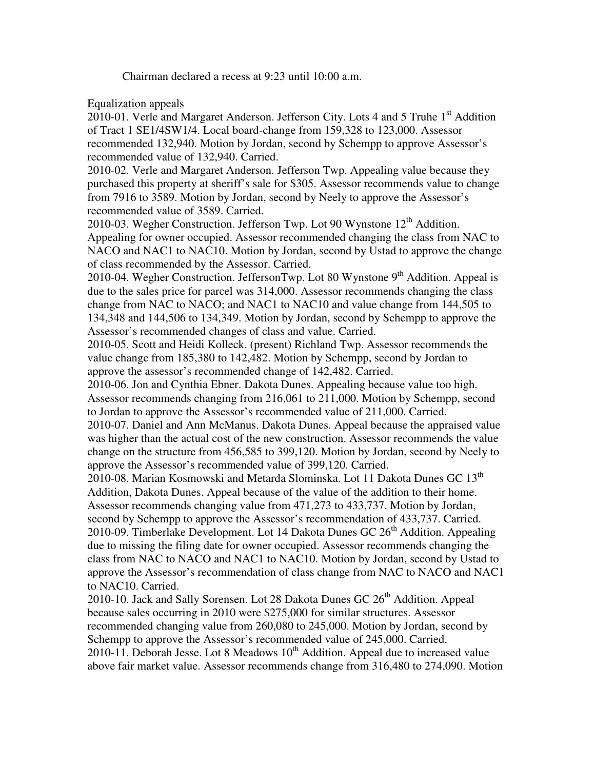Chairman declared a recess at 9:23 until 10:00 a.m.

# Equalization appeals

2010-01. Verle and Margaret Anderson. Jefferson City. Lots 4 and 5 Truhe 1<sup>st</sup> Addition of Tract 1 SE1/4SW1/4. Local board-change from 159,328 to 123,000. Assessor recommended 132,940. Motion by Jordan, second by Schempp to approve Assessor's recommended value of 132,940. Carried.

2010-02. Verle and Margaret Anderson. Jefferson Twp. Appealing value because they purchased this property at sheriff's sale for \$305. Assessor recommends value to change from 7916 to 3589. Motion by Jordan, second by Neely to approve the Assessor's recommended value of 3589. Carried.

2010-03. Wegher Construction. Jefferson Twp. Lot 90 Wynstone  $12<sup>th</sup>$  Addition. Appealing for owner occupied. Assessor recommended changing the class from NAC to NACO and NAC1 to NAC10. Motion by Jordan, second by Ustad to approve the change of class recommended by the Assessor. Carried.

2010-04. Wegher Construction. JeffersonTwp. Lot 80 Wynstone  $9<sup>th</sup>$  Addition. Appeal is due to the sales price for parcel was 314,000. Assessor recommends changing the class change from NAC to NACO; and NAC1 to NAC10 and value change from 144,505 to 134,348 and 144,506 to 134,349. Motion by Jordan, second by Schempp to approve the Assessor's recommended changes of class and value. Carried.

2010-05. Scott and Heidi Kolleck. (present) Richland Twp. Assessor recommends the value change from 185,380 to 142,482. Motion by Schempp, second by Jordan to approve the assessor's recommended change of 142,482. Carried.

2010-06. Jon and Cynthia Ebner. Dakota Dunes. Appealing because value too high. Assessor recommends changing from 216,061 to 211,000. Motion by Schempp, second to Jordan to approve the Assessor's recommended value of 211,000. Carried.

2010-07. Daniel and Ann McManus. Dakota Dunes. Appeal because the appraised value was higher than the actual cost of the new construction. Assessor recommends the value change on the structure from 456,585 to 399,120. Motion by Jordan, second by Neely to approve the Assessor's recommended value of 399,120. Carried.

2010-08. Marian Kosmowski and Metarda Slominska. Lot 11 Dakota Dunes GC 13<sup>th</sup> Addition, Dakota Dunes. Appeal because of the value of the addition to their home. Assessor recommends changing value from 471,273 to 433,737. Motion by Jordan, second by Schempp to approve the Assessor's recommendation of 433,737. Carried.

2010-09. Timberlake Development. Lot 14 Dakota Dunes GC  $26<sup>th</sup>$  Addition. Appealing due to missing the filing date for owner occupied. Assessor recommends changing the class from NAC to NACO and NAC1 to NAC10. Motion by Jordan, second by Ustad to approve the Assessor's recommendation of class change from NAC to NACO and NAC1 to NAC10. Carried.

2010-10. Jack and Sally Sorensen. Lot 28 Dakota Dunes GC  $26<sup>th</sup>$  Addition. Appeal because sales occurring in 2010 were \$275,000 for similar structures. Assessor recommended changing value from 260,080 to 245,000. Motion by Jordan, second by Schempp to approve the Assessor's recommended value of 245,000. Carried. 2010-11. Deborah Jesse. Lot 8 Meadows  $10<sup>th</sup>$  Addition. Appeal due to increased value above fair market value. Assessor recommends change from 316,480 to 274,090. Motion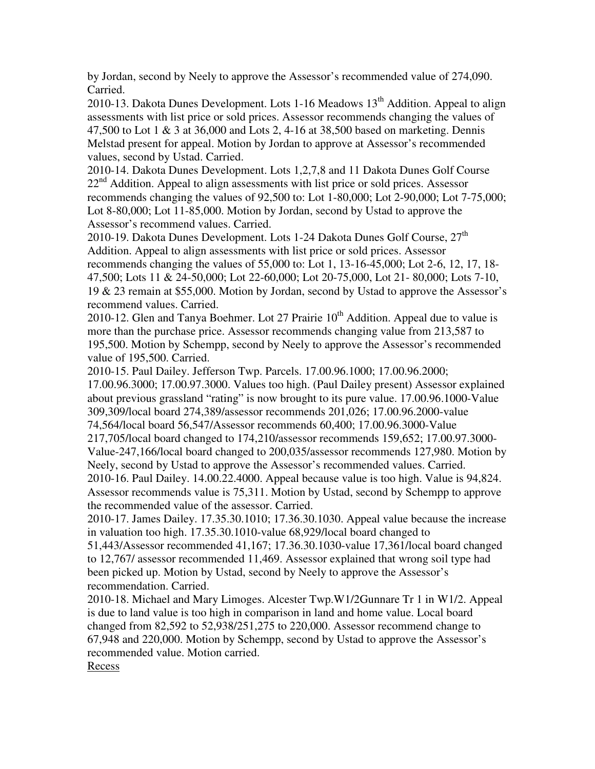by Jordan, second by Neely to approve the Assessor's recommended value of 274,090. Carried.

2010-13. Dakota Dunes Development. Lots 1-16 Meadows  $13<sup>th</sup>$  Addition. Appeal to align assessments with list price or sold prices. Assessor recommends changing the values of 47,500 to Lot 1 & 3 at 36,000 and Lots 2, 4-16 at 38,500 based on marketing. Dennis Melstad present for appeal. Motion by Jordan to approve at Assessor's recommended values, second by Ustad. Carried.

2010-14. Dakota Dunes Development. Lots 1,2,7,8 and 11 Dakota Dunes Golf Course  $22<sup>nd</sup>$  Addition. Appeal to align assessments with list price or sold prices. Assessor recommends changing the values of 92,500 to: Lot 1-80,000; Lot 2-90,000; Lot 7-75,000; Lot 8-80,000; Lot 11-85,000. Motion by Jordan, second by Ustad to approve the Assessor's recommend values. Carried.

2010-19. Dakota Dunes Development. Lots 1-24 Dakota Dunes Golf Course, 27<sup>th</sup> Addition. Appeal to align assessments with list price or sold prices. Assessor recommends changing the values of 55,000 to: Lot 1, 13-16-45,000; Lot 2-6, 12, 17, 18- 47,500; Lots 11 & 24-50,000; Lot 22-60,000; Lot 20-75,000, Lot 21- 80,000; Lots 7-10, 19 & 23 remain at \$55,000. Motion by Jordan, second by Ustad to approve the Assessor's recommend values. Carried.

2010-12. Glen and Tanya Boehmer. Lot 27 Prairie  $10<sup>th</sup>$  Addition. Appeal due to value is more than the purchase price. Assessor recommends changing value from 213,587 to 195,500. Motion by Schempp, second by Neely to approve the Assessor's recommended value of 195,500. Carried.

2010-15. Paul Dailey. Jefferson Twp. Parcels. 17.00.96.1000; 17.00.96.2000;

17.00.96.3000; 17.00.97.3000. Values too high. (Paul Dailey present) Assessor explained about previous grassland "rating" is now brought to its pure value. 17.00.96.1000-Value 309,309/local board 274,389/assessor recommends 201,026; 17.00.96.2000-value 74,564/local board 56,547/Assessor recommends 60,400; 17.00.96.3000-Value 217,705/local board changed to 174,210/assessor recommends 159,652; 17.00.97.3000-

Value-247,166/local board changed to 200,035/assessor recommends 127,980. Motion by Neely, second by Ustad to approve the Assessor's recommended values. Carried.

2010-16. Paul Dailey. 14.00.22.4000. Appeal because value is too high. Value is 94,824. Assessor recommends value is 75,311. Motion by Ustad, second by Schempp to approve the recommended value of the assessor. Carried.

2010-17. James Dailey. 17.35.30.1010; 17.36.30.1030. Appeal value because the increase in valuation too high. 17.35.30.1010-value 68,929/local board changed to

51,443/Assessor recommended 41,167; 17.36.30.1030-value 17,361/local board changed to 12,767/ assessor recommended 11,469. Assessor explained that wrong soil type had been picked up. Motion by Ustad, second by Neely to approve the Assessor's recommendation. Carried.

2010-18. Michael and Mary Limoges. Alcester Twp.W1/2Gunnare Tr 1 in W1/2. Appeal is due to land value is too high in comparison in land and home value. Local board changed from 82,592 to 52,938/251,275 to 220,000. Assessor recommend change to 67,948 and 220,000. Motion by Schempp, second by Ustad to approve the Assessor's recommended value. Motion carried.

**Recess**